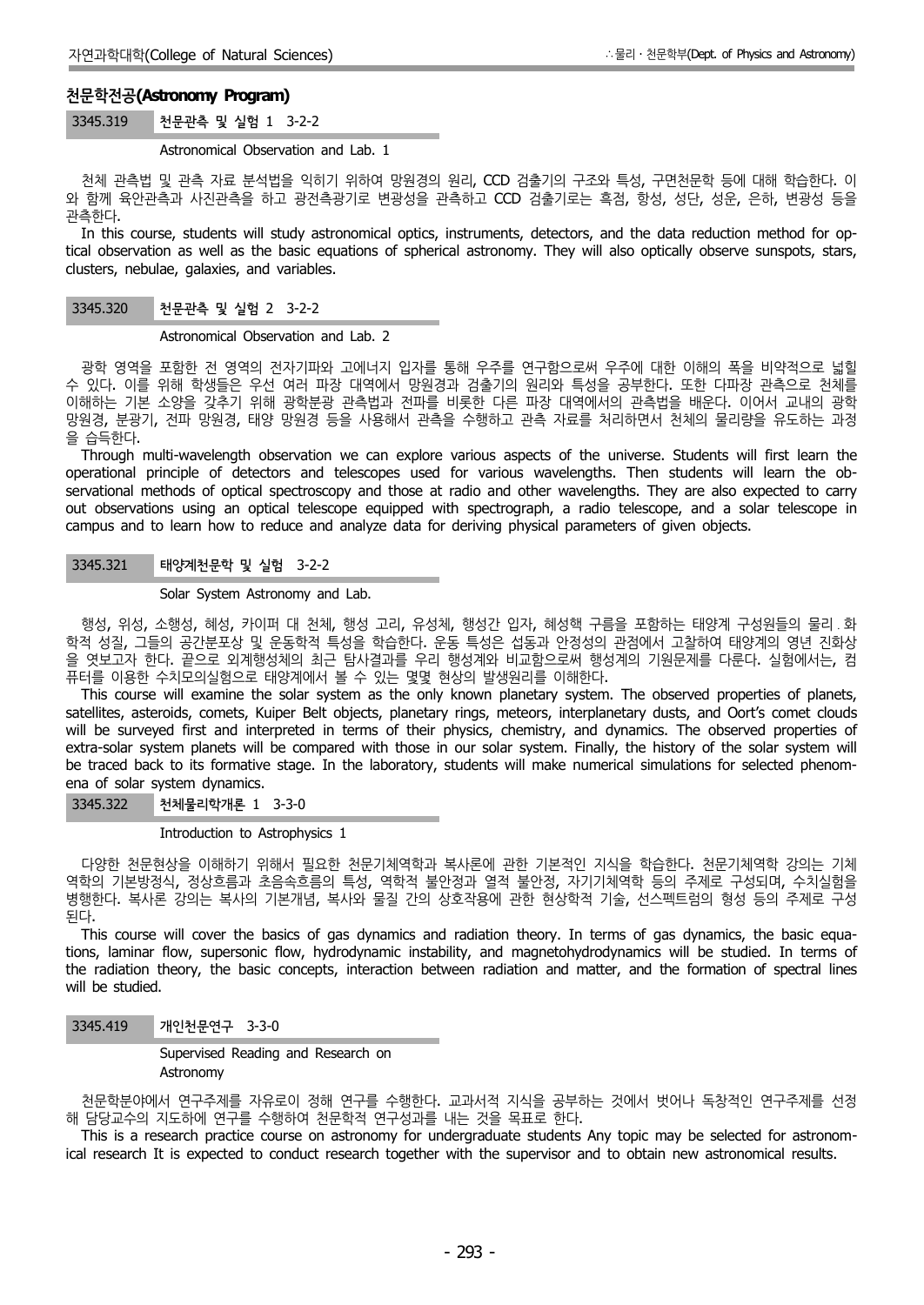# **천문학전공(Astronomy Program)**

## 3345.319 천문관측 및 실험 1 3-2-2

Astronomical Observation and Lab. 1

천체 관측법 및 관측 자료 분석법을 익히기 위하여 망원경의 원리, CCD 검출기의 구조와 특성, 구면천문학 등에 대해 학습한다. 이 와 함께 육안관측과 사진관측을 하고 광전측광기로 변광성을 관측하고 CCD 검출기로는 흑점, 항성, 성단, 성운, 은하, 변광성 등을 관측한다.

In this course, students will study astronomical optics, instruments, detectors, and the data reduction method for optical observation as well as the basic equations of spherical astronomy. They will also optically observe sunspots, stars, clusters, nebulae, galaxies, and variables.

# 3345.320 천문관측 및 실험 2 3-2-2

Astronomical Observation and Lab. 2

광학 영역을 포함한 전 영역의 전자기파와 고에너지 입자를 통해 우주를 연구함으로써 우주에 대한 이해의 폭을 비약적으로 넓힐 수 있다. 이를 위해 학생들은 우선 여러 파장 대역에서 망원경과 검출기의 원리와 특성을 공부한다. 또한 다파장 관측으로 천체를 이해하는 기본 소양을 갖추기 위해 광학분광 관측법과 전파를 비롯한 다른 파장 대역에서의 관측법을 배운다. 이어서 교내의 광학 망원경, 분광기, 전파 망원경, 태양 망원경 등을 사용해서 관측을 수행하고 관측 자료를 처리하면서 천체의 물리량을 유도하는 과정 을 습득한다.

Through multi-wavelength observation we can explore various aspects of the universe. Students will first learn the operational principle of detectors and telescopes used for various wavelengths. Then students will learn the ob servational methods of optical spectroscopy and those at radio and other wavelengths. They are also expected to carry out observations using an optical telescope equipped with spectrograph, a radio telescope, and a solar telescope in campus and to learn how to reduce and analyze data for deriving physical parameters of given objects.

3345.321 태양계천문학 및 실험 3-2-2

Solar System Astronomy and Lab.

행성, 위성, 소행성, 혜성, 카이퍼 대 천체, 행성 고리, 유성체, 행성간 입자, 혜성핵 구름을 포함하는 태양계 구성원들의 물리 ․ 화 학적 성질, 그들의 공간분포상 및 운동학적 특성을 학습한다. 운동 특성은 섭동과 안정성의 관점에서 고찰하여 태양계의 영년 진화상 을 엿보고자 한다. 끝으로 외계행성체의 최근 탐사결과를 우리 행성계와 비교함으로써 행성계의 기원문제를 다룬다. 실험에서는, 컴 퓨터를 이용한 수치모의실험으로 태양계에서 볼 수 있는 몇몇 현상의 발생원리를 이해한다.

This course will examine the solar system as the only known planetary system. The observed properties of planets, satellites, asteroids, comets, Kuiper Belt objects, planetary rings, meteors, interplanetary dusts, and Oort's comet clouds will be surveyed first and interpreted in terms of their physics, chemistry, and dynamics. The observed properties of extra-solar system planets will be compared with those in our solar system. Finally, the history of the solar system will be traced back to its formative stage. In the laboratory, students will make numerical simulations for selected phenom ena of solar system dynamics.

3345.322 천체물리학개론 1 3-3-0

Introduction to Astrophysics 1

다양한 천문현상을 이해하기 위해서 필요한 천문기체역학과 복사론에 관한 기본적인 지식을 학습한다. 천문기체역학 강의는 기체 역학의 기본방정식, 정상흐름과 초음속흐름의 특성, 역학적 불안정과 열적 불안정, 자기기체역학 등의 주제로 구성되며, 수치실험을 병행한다. 복사론 강의는 복사의 기본개념, 복사와 물질 간의 상호작용에 관한 현상학적 기술, 선스펙트럼의 형성 등의 주제로 구성 된다.

This course will cover the basics of gas dynamics and radiation theory. In terms of gas dynamics, the basic equations, laminar flow, supersonic flow, hydrodynamic instability, and magnetohydrodynamics will be studied. In terms of the radiation theory, the basic concepts, interaction between radiation and matter, and the formation of spectral lines will be studied.

3345.419 개인천문연구 3-3-0

Supervised Reading and Research on Astronomy

천문학분야에서 연구주제를 자유로이 정해 연구를 수행한다. 교과서적 지식을 공부하는 것에서 벗어나 독창적인 연구주제를 선정 해 담당교수의 지도하에 연구를 수행하여 천문학적 연구성과를 내는 것을 목표로 한다.

This is a research practice course on astronomy for undergraduate students Any topic may be selected for astronomical research It is expected to conduct research together with the supervisor and to obtain new astronomical results.